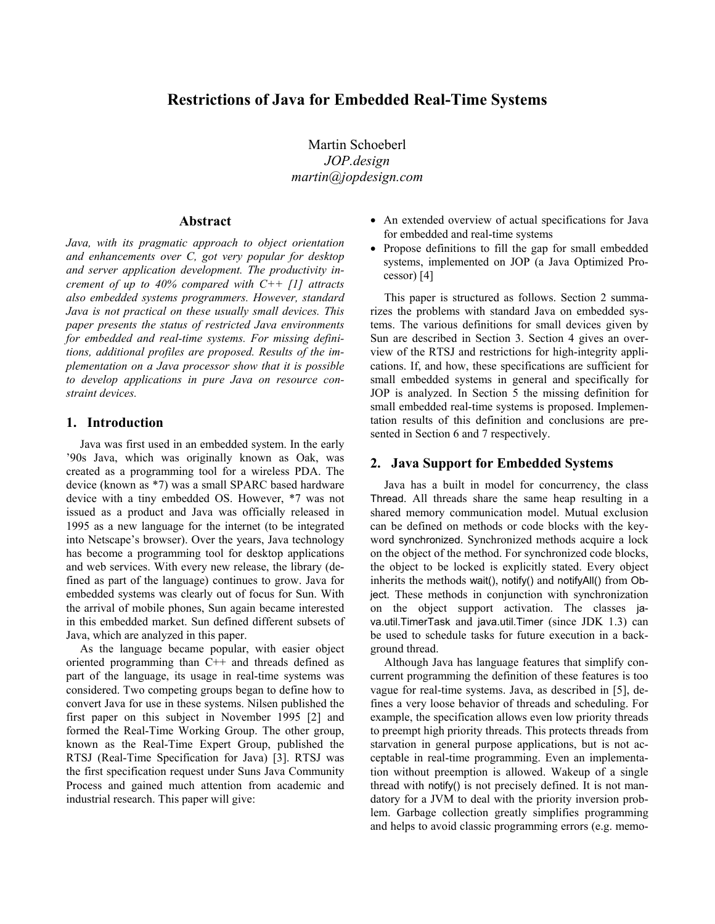# **Restrictions of Java for Embedded Real-Time Systems**

Martin Schoeberl *JOP.design martin@jopdesign.com* 

#### **Abstract**

*Java, with its pragmatic approach to object orientation and enhancements over C, got very popular for desktop and server application development. The productivity increment of up to 40% compared with C++ [1] attracts also embedded systems programmers. However, standard Java is not practical on these usually small devices. This paper presents the status of restricted Java environments for embedded and real-time systems. For missing definitions, additional profiles are proposed. Results of the implementation on a Java processor show that it is possible to develop applications in pure Java on resource constraint devices.* 

## **1. Introduction**

Java was first used in an embedded system. In the early '90s Java, which was originally known as Oak, was created as a programming tool for a wireless PDA. The device (known as \*7) was a small SPARC based hardware device with a tiny embedded OS. However, \*7 was not issued as a product and Java was officially released in 1995 as a new language for the internet (to be integrated into Netscape's browser). Over the years, Java technology has become a programming tool for desktop applications and web services. With every new release, the library (defined as part of the language) continues to grow. Java for embedded systems was clearly out of focus for Sun. With the arrival of mobile phones, Sun again became interested in this embedded market. Sun defined different subsets of Java, which are analyzed in this paper.

As the language became popular, with easier object oriented programming than C++ and threads defined as part of the language, its usage in real-time systems was considered. Two competing groups began to define how to convert Java for use in these systems. Nilsen published the first paper on this subject in November 1995 [2] and formed the Real-Time Working Group. The other group, known as the Real-Time Expert Group, published the RTSJ (Real-Time Specification for Java) [3]. RTSJ was the first specification request under Suns Java Community Process and gained much attention from academic and industrial research. This paper will give:

- An extended overview of actual specifications for Java for embedded and real-time systems
- Propose definitions to fill the gap for small embedded systems, implemented on JOP (a Java Optimized Processor) [4]

This paper is structured as follows. Section 2 summarizes the problems with standard Java on embedded systems. The various definitions for small devices given by Sun are described in Section 3. Section 4 gives an overview of the RTSJ and restrictions for high-integrity applications. If, and how, these specifications are sufficient for small embedded systems in general and specifically for JOP is analyzed. In Section 5 the missing definition for small embedded real-time systems is proposed. Implementation results of this definition and conclusions are presented in Section 6 and 7 respectively.

#### **2. Java Support for Embedded Systems**

Java has a built in model for concurrency, the class Thread. All threads share the same heap resulting in a shared memory communication model. Mutual exclusion can be defined on methods or code blocks with the keyword synchronized. Synchronized methods acquire a lock on the object of the method. For synchronized code blocks, the object to be locked is explicitly stated. Every object inherits the methods wait(), notify() and notifyAll() from Object. These methods in conjunction with synchronization on the object support activation. The classes java.util.TimerTask and java.util.Timer (since JDK 1.3) can be used to schedule tasks for future execution in a background thread.

Although Java has language features that simplify concurrent programming the definition of these features is too vague for real-time systems. Java, as described in [5], defines a very loose behavior of threads and scheduling. For example, the specification allows even low priority threads to preempt high priority threads. This protects threads from starvation in general purpose applications, but is not acceptable in real-time programming. Even an implementation without preemption is allowed. Wakeup of a single thread with notify() is not precisely defined. It is not mandatory for a JVM to deal with the priority inversion problem. Garbage collection greatly simplifies programming and helps to avoid classic programming errors (e.g. memo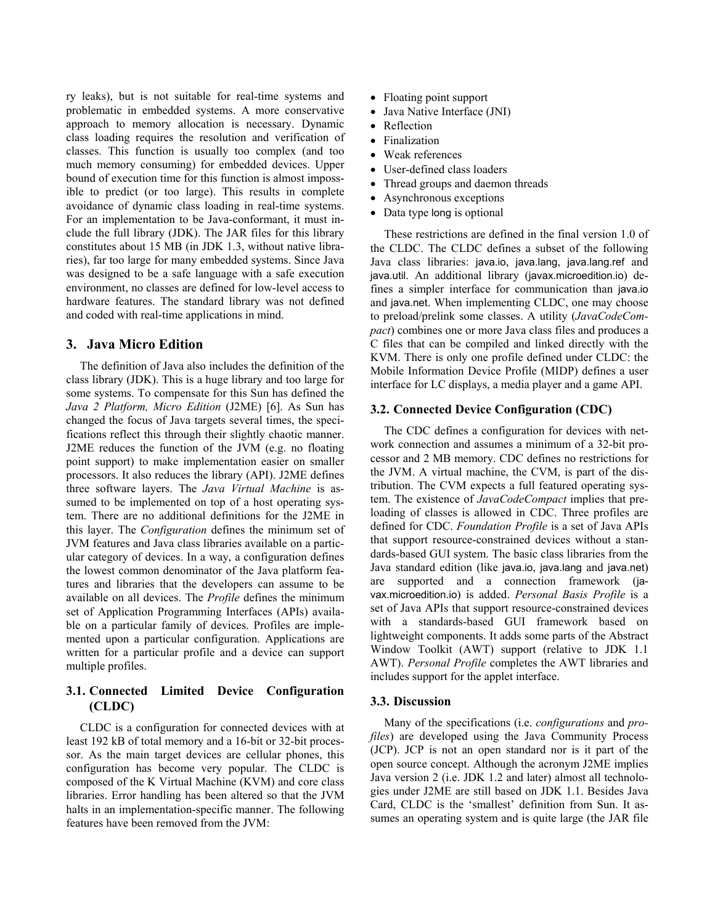ry leaks), but is not suitable for real-time systems and problematic in embedded systems. A more conservative approach to memory allocation is necessary. Dynamic class loading requires the resolution and verification of classes. This function is usually too complex (and too much memory consuming) for embedded devices. Upper bound of execution time for this function is almost impossible to predict (or too large). This results in complete avoidance of dynamic class loading in real-time systems. For an implementation to be Java-conformant, it must include the full library (JDK). The JAR files for this library constitutes about 15 MB (in JDK 1.3, without native libraries), far too large for many embedded systems. Since Java was designed to be a safe language with a safe execution environment, no classes are defined for low-level access to hardware features. The standard library was not defined and coded with real-time applications in mind.

## **3. Java Micro Edition**

The definition of Java also includes the definition of the class library (JDK). This is a huge library and too large for some systems. To compensate for this Sun has defined the *Java 2 Platform, Micro Edition* (J2ME) [6]. As Sun has changed the focus of Java targets several times, the specifications reflect this through their slightly chaotic manner. J2ME reduces the function of the JVM (e.g. no floating point support) to make implementation easier on smaller processors. It also reduces the library (API). J2ME defines three software layers. The *Java Virtual Machine* is assumed to be implemented on top of a host operating system. There are no additional definitions for the J2ME in this layer. The *Configuration* defines the minimum set of JVM features and Java class libraries available on a particular category of devices. In a way, a configuration defines the lowest common denominator of the Java platform features and libraries that the developers can assume to be available on all devices. The *Profile* defines the minimum set of Application Programming Interfaces (APIs) available on a particular family of devices. Profiles are implemented upon a particular configuration. Applications are written for a particular profile and a device can support multiple profiles.

# **3.1. Connected Limited Device Configuration (CLDC)**

CLDC is a configuration for connected devices with at least 192 kB of total memory and a 16-bit or 32-bit processor. As the main target devices are cellular phones, this configuration has become very popular. The CLDC is composed of the K Virtual Machine (KVM) and core class libraries. Error handling has been altered so that the JVM halts in an implementation-specific manner. The following features have been removed from the JVM:

- Floating point support
- Java Native Interface (JNI)
- Reflection
- Finalization
- Weak references
- User-defined class loaders
- Thread groups and daemon threads
- Asynchronous exceptions
- Data type long is optional

These restrictions are defined in the final version 1.0 of the CLDC. The CLDC defines a subset of the following Java class libraries: java.io, java.lang, java.lang.ref and java.util. An additional library (javax.microedition.io) defines a simpler interface for communication than java.io and java.net. When implementing CLDC, one may choose to preload/prelink some classes. A utility (*JavaCodeCompact*) combines one or more Java class files and produces a C files that can be compiled and linked directly with the KVM. There is only one profile defined under CLDC: the Mobile Information Device Profile (MIDP) defines a user interface for LC displays, a media player and a game API.

## **3.2. Connected Device Configuration (CDC)**

The CDC defines a configuration for devices with network connection and assumes a minimum of a 32-bit processor and 2 MB memory. CDC defines no restrictions for the JVM. A virtual machine, the CVM, is part of the distribution. The CVM expects a full featured operating system. The existence of *JavaCodeCompact* implies that preloading of classes is allowed in CDC. Three profiles are defined for CDC. *Foundation Profile* is a set of Java APIs that support resource-constrained devices without a standards-based GUI system. The basic class libraries from the Java standard edition (like java.io, java.lang and java.net) are supported and a connection framework (javax.microedition.io) is added. *Personal Basis Profile* is a set of Java APIs that support resource-constrained devices with a standards-based GUI framework based on lightweight components. It adds some parts of the Abstract Window Toolkit (AWT) support (relative to JDK 1.1 AWT). *Personal Profile* completes the AWT libraries and includes support for the applet interface.

#### **3.3. Discussion**

Many of the specifications (i.e. *configurations* and *profiles*) are developed using the Java Community Process (JCP). JCP is not an open standard nor is it part of the open source concept. Although the acronym J2ME implies Java version 2 (i.e. JDK 1.2 and later) almost all technologies under J2ME are still based on JDK 1.1. Besides Java Card, CLDC is the 'smallest' definition from Sun. It assumes an operating system and is quite large (the JAR file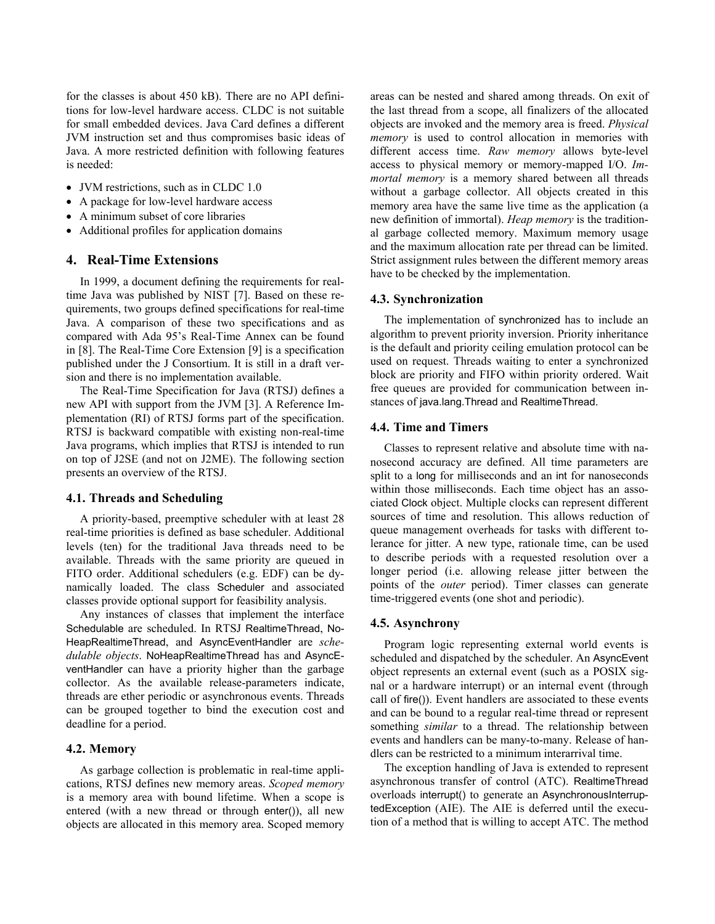for the classes is about 450 kB). There are no API definitions for low-level hardware access. CLDC is not suitable for small embedded devices. Java Card defines a different JVM instruction set and thus compromises basic ideas of Java. A more restricted definition with following features is needed:

- JVM restrictions, such as in CLDC 1.0
- A package for low-level hardware access
- A minimum subset of core libraries
- Additional profiles for application domains

# **4. Real-Time Extensions**

In 1999, a document defining the requirements for realtime Java was published by NIST [7]. Based on these requirements, two groups defined specifications for real-time Java. A comparison of these two specifications and as compared with Ada 95's Real-Time Annex can be found in [8]. The Real-Time Core Extension [9] is a specification published under the J Consortium. It is still in a draft version and there is no implementation available.

The Real-Time Specification for Java (RTSJ) defines a new API with support from the JVM [3]. A Reference Implementation (RI) of RTSJ forms part of the specification. RTSJ is backward compatible with existing non-real-time Java programs, which implies that RTSJ is intended to run on top of J2SE (and not on J2ME). The following section presents an overview of the RTSJ.

#### **4.1. Threads and Scheduling**

A priority-based, preemptive scheduler with at least 28 real-time priorities is defined as base scheduler. Additional levels (ten) for the traditional Java threads need to be available. Threads with the same priority are queued in FITO order. Additional schedulers (e.g. EDF) can be dynamically loaded. The class Scheduler and associated classes provide optional support for feasibility analysis.

Any instances of classes that implement the interface Schedulable are scheduled. In RTSJ RealtimeThread, No-HeapRealtimeThread, and AsyncEventHandler are *schedulable objects*. NoHeapRealtimeThread has and AsyncEventHandler can have a priority higher than the garbage collector. As the available release-parameters indicate, threads are ether periodic or asynchronous events. Threads can be grouped together to bind the execution cost and deadline for a period.

## **4.2. Memory**

As garbage collection is problematic in real-time applications, RTSJ defines new memory areas. *Scoped memory* is a memory area with bound lifetime. When a scope is entered (with a new thread or through enter()), all new objects are allocated in this memory area. Scoped memory areas can be nested and shared among threads. On exit of the last thread from a scope, all finalizers of the allocated objects are invoked and the memory area is freed. *Physical memory* is used to control allocation in memories with different access time. *Raw memory* allows byte-level access to physical memory or memory-mapped I/O. *Immortal memory* is a memory shared between all threads without a garbage collector. All objects created in this memory area have the same live time as the application (a new definition of immortal). *Heap memory* is the traditional garbage collected memory. Maximum memory usage and the maximum allocation rate per thread can be limited. Strict assignment rules between the different memory areas have to be checked by the implementation.

#### **4.3. Synchronization**

The implementation of synchronized has to include an algorithm to prevent priority inversion. Priority inheritance is the default and priority ceiling emulation protocol can be used on request. Threads waiting to enter a synchronized block are priority and FIFO within priority ordered. Wait free queues are provided for communication between instances of java.lang.Thread and RealtimeThread.

## **4.4. Time and Timers**

Classes to represent relative and absolute time with nanosecond accuracy are defined. All time parameters are split to a long for milliseconds and an int for nanoseconds within those milliseconds. Each time object has an associated Clock object. Multiple clocks can represent different sources of time and resolution. This allows reduction of queue management overheads for tasks with different tolerance for jitter. A new type, rationale time, can be used to describe periods with a requested resolution over a longer period (i.e. allowing release jitter between the points of the *outer* period). Timer classes can generate time-triggered events (one shot and periodic).

#### **4.5. Asynchrony**

Program logic representing external world events is scheduled and dispatched by the scheduler. An AsyncEvent object represents an external event (such as a POSIX signal or a hardware interrupt) or an internal event (through call of fire()). Event handlers are associated to these events and can be bound to a regular real-time thread or represent something *similar* to a thread. The relationship between events and handlers can be many-to-many. Release of handlers can be restricted to a minimum interarrival time.

The exception handling of Java is extended to represent asynchronous transfer of control (ATC). RealtimeThread overloads interrupt() to generate an AsynchronousInterruptedException (AIE). The AIE is deferred until the execution of a method that is willing to accept ATC. The method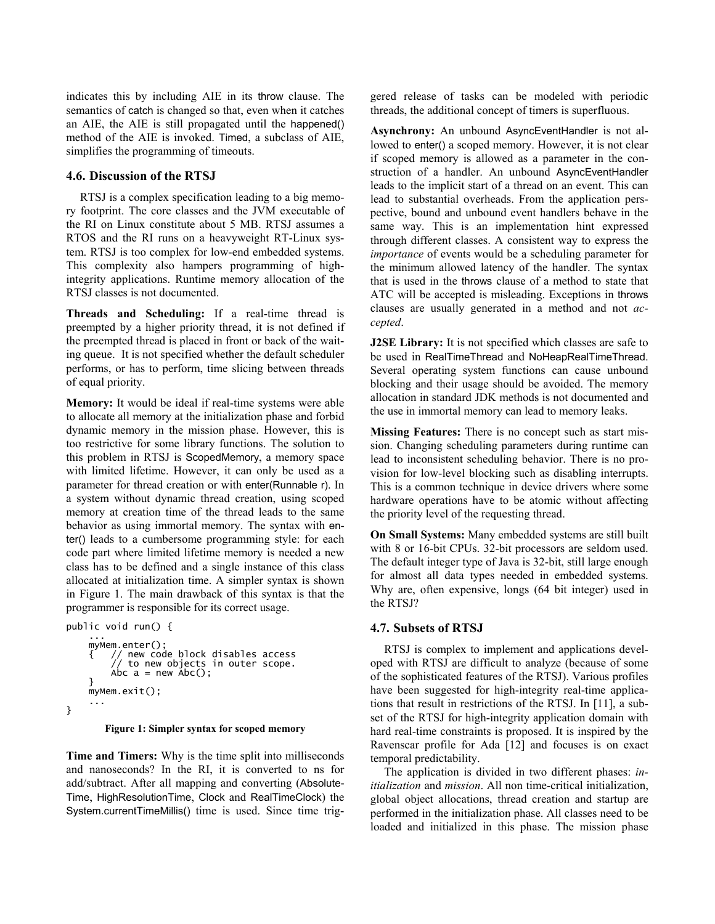indicates this by including AIE in its throw clause. The semantics of catch is changed so that, even when it catches an AIE, the AIE is still propagated until the happened() method of the AIE is invoked. Timed, a subclass of AIE, simplifies the programming of timeouts.

## **4.6. Discussion of the RTSJ**

RTSJ is a complex specification leading to a big memory footprint. The core classes and the JVM executable of the RI on Linux constitute about 5 MB. RTSJ assumes a RTOS and the RI runs on a heavyweight RT-Linux system. RTSJ is too complex for low-end embedded systems. This complexity also hampers programming of highintegrity applications. Runtime memory allocation of the RTSJ classes is not documented.

**Threads and Scheduling:** If a real-time thread is preempted by a higher priority thread, it is not defined if the preempted thread is placed in front or back of the waiting queue. It is not specified whether the default scheduler performs, or has to perform, time slicing between threads of equal priority.

**Memory:** It would be ideal if real-time systems were able to allocate all memory at the initialization phase and forbid dynamic memory in the mission phase. However, this is too restrictive for some library functions. The solution to this problem in RTSJ is ScopedMemory, a memory space with limited lifetime. However, it can only be used as a parameter for thread creation or with enter(Runnable r). In a system without dynamic thread creation, using scoped memory at creation time of the thread leads to the same behavior as using immortal memory. The syntax with enter() leads to a cumbersome programming style: for each code part where limited lifetime memory is needed a new class has to be defined and a single instance of this class allocated at initialization time. A simpler syntax is shown in Figure 1. The main drawback of this syntax is that the programmer is responsible for its correct usage.

```
public void run() { 
 ... 
 myMem.enter(); 
 { // new code block disables access 
 // to new objects in outer scope. 
            Abc a = new Abc();
 } 
      myMem.exit(); 
 ... 
}
```
**Figure 1: Simpler syntax for scoped memory** 

**Time and Timers:** Why is the time split into milliseconds and nanoseconds? In the RI, it is converted to ns for add/subtract. After all mapping and converting (Absolute-Time, HighResolutionTime, Clock and RealTimeClock) the System.currentTimeMillis() time is used. Since time triggered release of tasks can be modeled with periodic threads, the additional concept of timers is superfluous.

**Asynchrony:** An unbound AsyncEventHandler is not allowed to enter() a scoped memory. However, it is not clear if scoped memory is allowed as a parameter in the construction of a handler. An unbound AsyncEventHandler leads to the implicit start of a thread on an event. This can lead to substantial overheads. From the application perspective, bound and unbound event handlers behave in the same way. This is an implementation hint expressed through different classes. A consistent way to express the *importance* of events would be a scheduling parameter for the minimum allowed latency of the handler. The syntax that is used in the throws clause of a method to state that ATC will be accepted is misleading. Exceptions in throws clauses are usually generated in a method and not *accepted*.

**J2SE Library:** It is not specified which classes are safe to be used in RealTimeThread and NoHeapRealTimeThread. Several operating system functions can cause unbound blocking and their usage should be avoided. The memory allocation in standard JDK methods is not documented and the use in immortal memory can lead to memory leaks.

**Missing Features:** There is no concept such as start mission. Changing scheduling parameters during runtime can lead to inconsistent scheduling behavior. There is no provision for low-level blocking such as disabling interrupts. This is a common technique in device drivers where some hardware operations have to be atomic without affecting the priority level of the requesting thread.

**On Small Systems:** Many embedded systems are still built with 8 or 16-bit CPUs. 32-bit processors are seldom used. The default integer type of Java is 32-bit, still large enough for almost all data types needed in embedded systems. Why are, often expensive, longs (64 bit integer) used in the RTSJ?

## **4.7. Subsets of RTSJ**

RTSJ is complex to implement and applications developed with RTSJ are difficult to analyze (because of some of the sophisticated features of the RTSJ). Various profiles have been suggested for high-integrity real-time applications that result in restrictions of the RTSJ. In [11], a subset of the RTSJ for high-integrity application domain with hard real-time constraints is proposed. It is inspired by the Ravenscar profile for Ada [12] and focuses is on exact temporal predictability.

The application is divided in two different phases: *initialization* and *mission*. All non time-critical initialization, global object allocations, thread creation and startup are performed in the initialization phase. All classes need to be loaded and initialized in this phase. The mission phase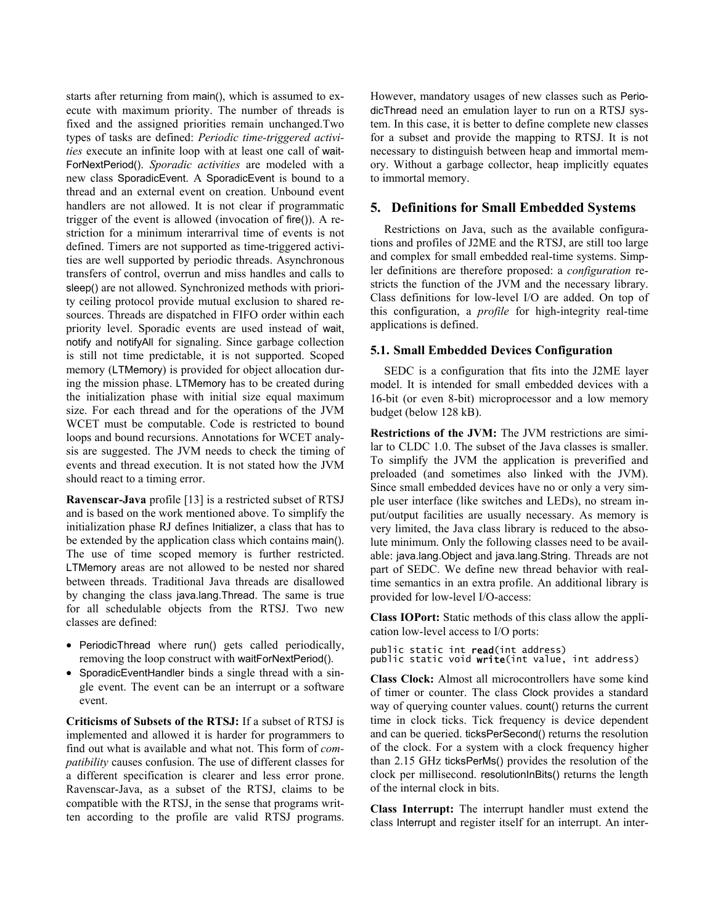starts after returning from main(), which is assumed to execute with maximum priority. The number of threads is fixed and the assigned priorities remain unchanged.Two types of tasks are defined: *Periodic time-triggered activities* execute an infinite loop with at least one call of wait-ForNextPeriod(). *Sporadic activities* are modeled with a new class SporadicEvent. A SporadicEvent is bound to a thread and an external event on creation. Unbound event handlers are not allowed. It is not clear if programmatic trigger of the event is allowed (invocation of fire()). A restriction for a minimum interarrival time of events is not defined. Timers are not supported as time-triggered activities are well supported by periodic threads. Asynchronous transfers of control, overrun and miss handles and calls to sleep() are not allowed. Synchronized methods with priority ceiling protocol provide mutual exclusion to shared resources. Threads are dispatched in FIFO order within each priority level. Sporadic events are used instead of wait, notify and notifyAll for signaling. Since garbage collection is still not time predictable, it is not supported. Scoped memory (LTMemory) is provided for object allocation during the mission phase. LTMemory has to be created during the initialization phase with initial size equal maximum size. For each thread and for the operations of the JVM WCET must be computable. Code is restricted to bound loops and bound recursions. Annotations for WCET analysis are suggested. The JVM needs to check the timing of events and thread execution. It is not stated how the JVM should react to a timing error.

**Ravenscar-Java** profile [13] is a restricted subset of RTSJ and is based on the work mentioned above. To simplify the initialization phase RJ defines Initializer, a class that has to be extended by the application class which contains main(). The use of time scoped memory is further restricted. LTMemory areas are not allowed to be nested nor shared between threads. Traditional Java threads are disallowed by changing the class java.lang.Thread. The same is true for all schedulable objects from the RTSJ. Two new classes are defined:

- PeriodicThread where run() gets called periodically, removing the loop construct with waitForNextPeriod().
- SporadicEventHandler binds a single thread with a single event. The event can be an interrupt or a software event.

**Criticisms of Subsets of the RTSJ:** If a subset of RTSJ is implemented and allowed it is harder for programmers to find out what is available and what not. This form of *compatibility* causes confusion. The use of different classes for a different specification is clearer and less error prone. Ravenscar-Java, as a subset of the RTSJ, claims to be compatible with the RTSJ, in the sense that programs written according to the profile are valid RTSJ programs.

However, mandatory usages of new classes such as PeriodicThread need an emulation layer to run on a RTSJ system. In this case, it is better to define complete new classes for a subset and provide the mapping to RTSJ. It is not necessary to distinguish between heap and immortal memory. Without a garbage collector, heap implicitly equates to immortal memory.

## **5. Definitions for Small Embedded Systems**

Restrictions on Java, such as the available configurations and profiles of J2ME and the RTSJ, are still too large and complex for small embedded real-time systems. Simpler definitions are therefore proposed: a *configuration* restricts the function of the JVM and the necessary library. Class definitions for low-level I/O are added. On top of this configuration, a *profile* for high-integrity real-time applications is defined.

#### **5.1. Small Embedded Devices Configuration**

SEDC is a configuration that fits into the J2ME layer model. It is intended for small embedded devices with a 16-bit (or even 8-bit) microprocessor and a low memory budget (below 128 kB).

**Restrictions of the JVM:** The JVM restrictions are similar to CLDC 1.0. The subset of the Java classes is smaller. To simplify the JVM the application is preverified and preloaded (and sometimes also linked with the JVM). Since small embedded devices have no or only a very simple user interface (like switches and LEDs), no stream input/output facilities are usually necessary. As memory is very limited, the Java class library is reduced to the absolute minimum. Only the following classes need to be available: java.lang.Object and java.lang.String. Threads are not part of SEDC. We define new thread behavior with realtime semantics in an extra profile. An additional library is provided for low-level I/O-access:

**Class IOPort:** Static methods of this class allow the application low-level access to I/O ports:

```
public static int read(int address)<br>public static void write(int value, int address)
```
**Class Clock:** Almost all microcontrollers have some kind of timer or counter. The class Clock provides a standard way of querying counter values. count() returns the current time in clock ticks. Tick frequency is device dependent and can be queried. ticksPerSecond() returns the resolution of the clock. For a system with a clock frequency higher than 2.15 GHz ticksPerMs() provides the resolution of the clock per millisecond. resolutionInBits() returns the length of the internal clock in bits.

**Class Interrupt:** The interrupt handler must extend the class Interrupt and register itself for an interrupt. An inter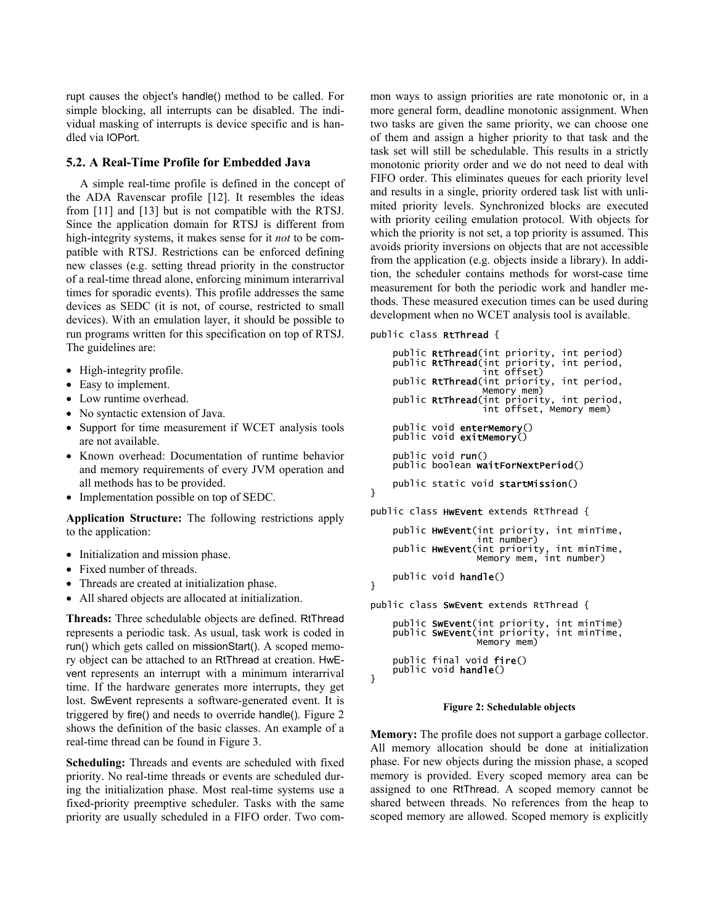rupt causes the object's handle() method to be called. For simple blocking, all interrupts can be disabled. The individual masking of interrupts is device specific and is handled via IOPort.

#### **5.2. A Real-Time Profile for Embedded Java**

A simple real-time profile is defined in the concept of the ADA Ravenscar profile [12]. It resembles the ideas from [11] and [13] but is not compatible with the RTSJ. Since the application domain for RTSJ is different from high-integrity systems, it makes sense for it *not* to be compatible with RTSJ. Restrictions can be enforced defining new classes (e.g. setting thread priority in the constructor of a real-time thread alone, enforcing minimum interarrival times for sporadic events). This profile addresses the same devices as SEDC (it is not, of course, restricted to small devices). With an emulation layer, it should be possible to run programs written for this specification on top of RTSJ. The guidelines are:

- High-integrity profile.
- Easy to implement.
- Low runtime overhead.
- No syntactic extension of Java.
- Support for time measurement if WCET analysis tools are not available.
- Known overhead: Documentation of runtime behavior and memory requirements of every JVM operation and all methods has to be provided.
- Implementation possible on top of SEDC.

**Application Structure:** The following restrictions apply to the application:

- Initialization and mission phase.
- Fixed number of threads.
- Threads are created at initialization phase.
- All shared objects are allocated at initialization.

**Threads:** Three schedulable objects are defined. RtThread represents a periodic task. As usual, task work is coded in run() which gets called on missionStart(). A scoped memory object can be attached to an RtThread at creation. HwEvent represents an interrupt with a minimum interarrival time. If the hardware generates more interrupts, they get lost. SwEvent represents a software-generated event. It is triggered by fire() and needs to override handle(). Figure 2 shows the definition of the basic classes. An example of a real-time thread can be found in Figure 3.

**Scheduling:** Threads and events are scheduled with fixed priority. No real-time threads or events are scheduled during the initialization phase. Most real-time systems use a fixed-priority preemptive scheduler. Tasks with the same priority are usually scheduled in a FIFO order. Two common ways to assign priorities are rate monotonic or, in a more general form, deadline monotonic assignment. When two tasks are given the same priority, we can choose one of them and assign a higher priority to that task and the task set will still be schedulable. This results in a strictly monotonic priority order and we do not need to deal with FIFO order. This eliminates queues for each priority level and results in a single, priority ordered task list with unlimited priority levels. Synchronized blocks are executed with priority ceiling emulation protocol. With objects for which the priority is not set, a top priority is assumed. This avoids priority inversions on objects that are not accessible from the application (e.g. objects inside a library). In addition, the scheduler contains methods for worst-case time measurement for both the periodic work and handler methods. These measured execution times can be used during development when no WCET analysis tool is available.

public class RtThread {

}

```
public RtThread(int priority, int period)<br>public RtThread(int priority, int period,
                           int offset) 
     public RtThread(int priority, int period,
                           Memory mem) 
public RtThread(int priority, int period,<br>int offset, Memory mem)
     public void enterMemory()
     public void exitMemory()
      public void run() 
      public boolean waitForNextPeriod() 
      public static void startMission() 
} 
public class HwEvent extends RtThread { 
     public HwEvent(int priority, int minTime,<br>int number)
int number)<br>public HwEvent(int priority, int minTime,<br>Memory mem, int number)
      public void handle() 
public class SwEvent extends RtThread { 
     public SwEvent(int priority, int minTime)
public SwEvent(int priority, int minTime,<br>Memory mem)
public final void fire()<br>public void handle()
}
```
#### **Figure 2: Schedulable objects**

**Memory:** The profile does not support a garbage collector. All memory allocation should be done at initialization phase. For new objects during the mission phase, a scoped memory is provided. Every scoped memory area can be assigned to one RtThread. A scoped memory cannot be shared between threads. No references from the heap to scoped memory are allowed. Scoped memory is explicitly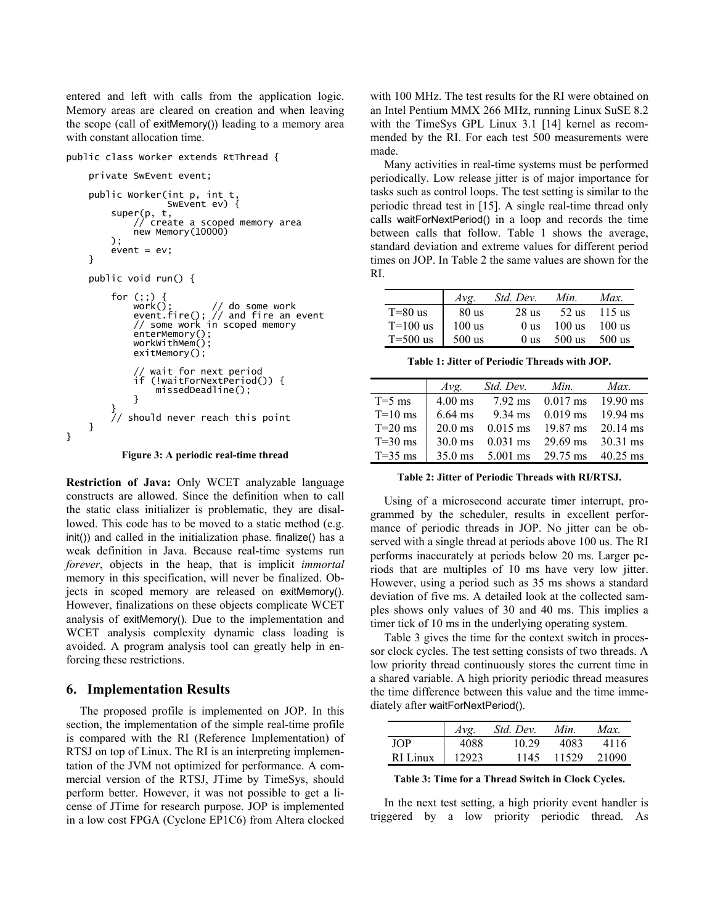entered and left with calls from the application logic. Memory areas are cleared on creation and when leaving the scope (call of exitMemory()) leading to a memory area with constant allocation time.

```
public class Worker extends RtThread {
```

```
 private SwEvent event; 
     public Worker(int p, int t, 
                       SwEvent ev) { 
           super(p, t, 
                 r, create a scoped memory area
               new Memory(10000) 
         \lambda;
          event = ev:
     } 
     public void run() { 
          for (;;) { 
 work(); // do some work 
 event.fire(); // and fire an event 
 // some work in scoped memory 
 enterMemory(); 
 workWithMem(); 
                exitMemory(); 
               // wait for next period<br>if (!waitForNextPeriod(
                  (!waitForNextPeriod()) {
               missedDeadline();
 } 
 } 
 // should never reach this point 
     }
```
**Figure 3: A periodic real-time thread** 

**Restriction of Java:** Only WCET analyzable language constructs are allowed. Since the definition when to call the static class initializer is problematic, they are disallowed. This code has to be moved to a static method (e.g. init()) and called in the initialization phase. finalize() has a weak definition in Java. Because real-time systems run *forever*, objects in the heap, that is implicit *immortal* memory in this specification, will never be finalized. Objects in scoped memory are released on exitMemory(). However, finalizations on these objects complicate WCET analysis of exitMemory(). Due to the implementation and WCET analysis complexity dynamic class loading is avoided. A program analysis tool can greatly help in enforcing these restrictions.

#### **6. Implementation Results**

}

The proposed profile is implemented on JOP. In this section, the implementation of the simple real-time profile is compared with the RI (Reference Implementation) of RTSJ on top of Linux. The RI is an interpreting implementation of the JVM not optimized for performance. A commercial version of the RTSJ, JTime by TimeSys, should perform better. However, it was not possible to get a license of JTime for research purpose. JOP is implemented in a low cost FPGA (Cyclone EP1C6) from Altera clocked with 100 MHz. The test results for the RI were obtained on an Intel Pentium MMX 266 MHz, running Linux SuSE 8.2 with the TimeSys GPL Linux 3.1 [14] kernel as recommended by the RI. For each test 500 measurements were made.

Many activities in real-time systems must be performed periodically. Low release jitter is of major importance for tasks such as control loops. The test setting is similar to the periodic thread test in [15]. A single real-time thread only calls waitForNextPeriod() in a loop and records the time between calls that follow. Table 1 shows the average, standard deviation and extreme values for different period times on JOP. In Table 2 the same values are shown for the RI.

|            | Avg.     | Std. Dev.       | Min.     | Max.     |
|------------|----------|-----------------|----------|----------|
| $T=80$ us  | $80$ us  | 28 us           | 52 us    | 115 us   |
| $T=100$ us | $100$ us | 0 <sub>us</sub> | 100 us   | $100$ us |
| $T=500$ us | $500$ us | 0 us            | $500$ us | 500 us   |

**Table 1: Jitter of Periodic Threads with JOP.** 

|           | Avg.              | Std. Dev.          | Min.               | Max.               |
|-----------|-------------------|--------------------|--------------------|--------------------|
| $T=5$ ms  | $4.00$ ms         | $7.92$ ms          | $0.017 \text{ ms}$ | $19.90 \text{ ms}$ |
| $T=10$ ms | $6.64$ ms         | $9.34 \text{ ms}$  | $0.019$ ms         | $19.94 \text{ ms}$ |
| $T=20$ ms | $20.0$ ms         | $0.015$ ms         | $19.87 \text{ ms}$ | $20.14 \text{ ms}$ |
| $T=30$ ms | $30.0$ ms         | $0.031 \text{ ms}$ | 29.69 ms           | $30.31 \text{ ms}$ |
| $T=35$ ms | $35.0 \text{ ms}$ | $5.001$ ms         | 29.75 ms           | $40.25$ ms         |
|           |                   |                    |                    |                    |

**Table 2: Jitter of Periodic Threads with RI/RTSJ.** 

Using of a microsecond accurate timer interrupt, programmed by the scheduler, results in excellent performance of periodic threads in JOP. No jitter can be observed with a single thread at periods above 100 us. The RI performs inaccurately at periods below 20 ms. Larger periods that are multiples of 10 ms have very low jitter. However, using a period such as 35 ms shows a standard deviation of five ms. A detailed look at the collected samples shows only values of 30 and 40 ms. This implies a timer tick of 10 ms in the underlying operating system.

Table 3 gives the time for the context switch in processor clock cycles. The test setting consists of two threads. A low priority thread continuously stores the current time in a shared variable. A high priority periodic thread measures the time difference between this value and the time immediately after waitForNextPeriod().

|          | Avg   | Std. Dev. | Min.  | Max.  |
|----------|-------|-----------|-------|-------|
| JOP.     | 4088  | 10.29     | 4083  | 4116  |
| RI Linux | 12923 | 1145      | 11529 | 21090 |

**Table 3: Time for a Thread Switch in Clock Cycles.** 

In the next test setting, a high priority event handler is triggered by a low priority periodic thread. As